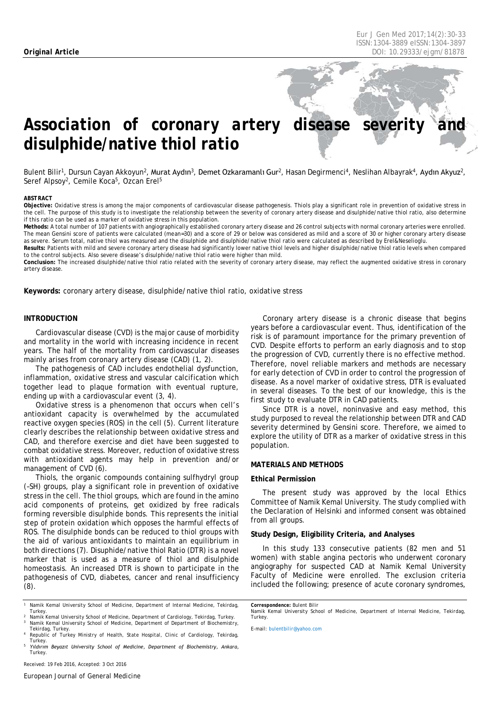# Association of coronary artery disease severity *disulphide/native thiol ratio*

Bulent Bilir<sup>1</sup>, Dursun Cayan Akkoyun<sup>2</sup>, Murat Aydın<sup>3</sup>, Demet Ozkaramanlı Gur<sup>2</sup>, Hasan Degirmenci<sup>4</sup>, Neslihan Albayrak<sup>4</sup>, Aydın Akyuz<sup>2</sup>, Seref Alpsoy<sup>2</sup>, Cemile Koca<sup>5</sup>, Ozcan Erel<sup>5</sup>

#### <span id="page-0-0"></span>*ABSTRACT*

**Objective:** Oxidative stress is among the major components of cardiovascular disease pathogenesis. Thiols play a significant role in prevention of oxidative stress in the cell. The purpose of this study is to investigate the relationship between the severity of coronary artery disease and disulphide/native thiol ratio, also determine if this ratio can be used as a marker of oxidative stress in this population.

**Methods:** A total number of 107 patients with angiographically established coronary artery disease and 26 control subjects with normal coronary arteries were enrolled. The mean Gensini score of patients were calculated (mean=30) and a score of 29 or below was considered as mild and a score of 30 or higher coronary artery disease as severe. Serum total, native thiol was measured and the disulphide and disulphide/native thiol ratio were calculated as described by Erel&Neselioglu.

**Results:** Patients with mild and severe coronary artery disease had significantly lower native thiol levels and higher disulphide/native thiol ratio levels when compared to the control subjects. Also severe disease's disulphide/native thiol ratio were higher than mild.

**Conclusion:** The increased disulphide/native thiol ratio related with the severity of coronary artery disease, may reflect the augmented oxidative stress in coronary artery disease.

**Keywords:** coronary artery disease, disulphide/native thiol ratio, oxidative stress

# **INTRODUCTION**

Cardiovascular disease (CVD) is the major cause of morbidity and mortality in the world with increasing incidence in recent years. The half of the mortality from cardiovascular diseases mainly arises from coronary artery disease (CAD) (1, 2).

The pathogenesis of CAD includes endothelial dysfunction, inflammation, oxidative stress and vascular calcification which together lead to plaque formation with eventual rupture, ending up with a cardiovascular event (3, 4).

Oxidative stress is a phenomenon that occurs when cell's antioxidant capacity is overwhelmed by the accumulated reactive oxygen species (ROS) in the cell (5). Current literature clearly describes the relationship between oxidative stress and CAD, and therefore exercise and diet have been suggested to combat oxidative stress. Moreover, reduction of oxidative stress with antioxidant agents may help in prevention and/or management of CVD (6).

Thiols, the organic compounds containing sulfhydryl group (–SH) groups, play a significant role in prevention of oxidative stress in the cell. The thiol groups, which are found in the amino acid components of proteins, get oxidized by free radicals forming reversible disulphide bonds. This represents the initial step of protein oxidation which opposes the harmful effects of ROS. The disulphide bonds can be reduced to thiol groups with the aid of various antioxidants to maintain an equilibrium in both directions (7). Disuphide/native thiol Ratio (DTR) is a novel marker that is used as a measure of thiol and disulphide homeostasis. An increased DTR is shown to participate in the pathogenesis of CVD, diabetes, cancer and renal insufficiency (8).

*<sup>1</sup> Namik Kemal University School of Medicine, Department of Internal Medicine, Tekirdag, Turkey. <sup>2</sup> Namik Kemal University School of Medicine, Department of Cardiology, Tekirdag, Turkey.*

*<sup>3</sup> Namik Kemal University School of Medicine, Department of Department of Biochemistry,* 

*Tekirdag, Turkey. <sup>4</sup> Republic of Turkey Ministry of Health, State Hospital, Clinic of Cardiology, Tekirdag, Turkey. <sup>5</sup> Yıldırım Beyazıt University School of Medicine, Department of Biochemistry, Ankara,* 

Coronary artery disease is a chronic disease that begins years before a cardiovascular event. Thus, identification of the risk is of paramount importance for the primary prevention of CVD. Despite efforts to perform an early diagnosis and to stop the progression of CVD, currently there is no effective method. Therefore, novel reliable markers and methods are necessary for early detection of CVD in order to control the progression of disease. As a novel marker of oxidative stress, DTR is evaluated in several diseases. To the best of our knowledge, this is the first study to evaluate DTR in CAD patients.

Since DTR is a novel, noninvasive and easy method, this study purposed to reveal the relationship between DTR and CAD severity determined by Gensini score. Therefore, we aimed to explore the utility of DTR as a marker of oxidative stress in this population.

# **MATERIALS AND METHODS**

# **Ethical Permission**

The present study was approved by the local Ethics Committee of Namik Kemal University. The study complied with the Declaration of Helsinki and informed consent was obtained from all groups.

# **Study Design, Eligibility Criteria, and Analyses**

In this study 133 consecutive patients (82 men and 51 women) with stable angina pectoris who underwent coronary angiography for suspected CAD at Namik Kemal University Faculty of Medicine were enrolled. The exclusion criteria included the following; presence of acute coronary syndromes,

*E-mail[: bulentbilir@yahoo.com](mailto:bulentbilir@yahoo.com)*

*Turkey.*

*Correspondence: Bulent Bilir Namik Kemal University School of Medicine, Department of Internal Medicine, Tekirdag, Turkey.*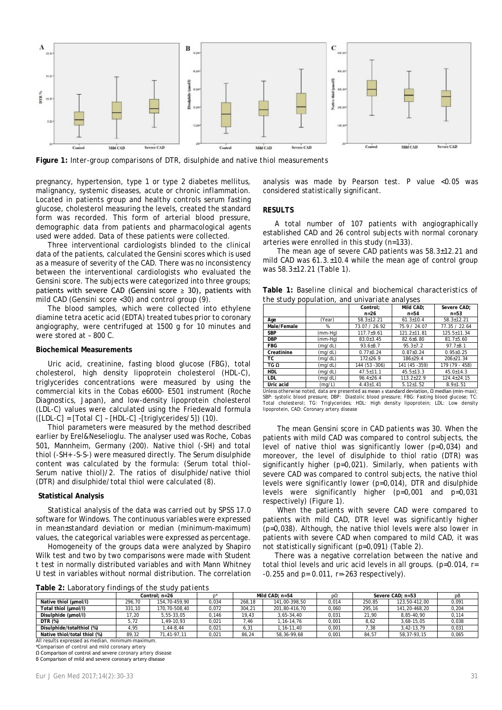

**Figure 1:** *Inter-group comparisons of DTR, disulphide and native thiol measurements*

pregnancy, hypertension, type 1 or type 2 diabetes mellitus, malignancy, systemic diseases, acute or chronic inflammation. Located in patients group and healthy controls serum fasting glucose, cholesterol measuring the levels, created the standard form was recorded. This form of arterial blood pressure, demographic data from patients and pharmacological agents used were added. Data of these patients were collected*.* 

Three interventional cardiologists blinded to the clinical data of the patients, calculated the Gensini scores which is used as a measure of severity of the CAD. There was no inconsistency between the interventional cardiologists who evaluated the Gensini score. The subjects were categorized into three groups; patients with severe CAD (Gensini score  $\geq$  30), patients with mild CAD (Gensini score <30) and control group (9).

The blood samples, which were collected into ethylene diamine tetra acetic acid (EDTA) treated tubes prior to coronary angiography, were centrifuged at 1500 g for 10 minutes and were stored at – 800 C.

## **Biochemical Measurements**

Uric acid, creatinine, fasting blood glucose (FBG), total cholesterol, high density lipoprotein cholesterol (HDL-C), triglycerides concentrations were measured by using the commercial kits in the Cobas e6000- E501 instrument (Roche Diagnostics, Japan), and low-density lipoprotein cholesterol (LDL-C) values were calculated using the Friedewald formula ([LDL-C] = [Total C] – [HDL-C] –[triglycerides/5]) (10).

Thiol parameters were measured by the method described earlier by Erel&Neselioglu. The analyser used was Roche, Cobas 501, Mannheim, Germany (200). Native thiol (-SH) and total thiol (-SH+ -S-S-) were measured directly. The Serum disulphide content was calculated by the formula: (Serum total thiol-Serum native thiol)/2. The ratios of disulphide/native thiol (DTR) and disulphide/total thiol were calculated (8).

#### **Statistical Analysis**

Statistical analysis of the data was carried out by SPSS 17.0 software for Windows. The continuous variables were expressed in mean±standard deviation or median (minimum-maximum) values, the categorical variables were expressed as percentage.

Homogeneity of the groups data were analyzed by Shapiro Wilk test and two by two comparisons were made with Student t test in normally distributed variables and with Mann Whitney U test in variables without normal distribution. The correlation

**Table 2:** *Laboratory findings of the study patients*

analysis was made by Pearson test. *P* value <0.05 was considered statistically significant.

# **RESULTS**

A total number of 107 patients with angiographically established CAD and 26 control subjects with normal coronary arteries were enrolled in this study (n=133).

The mean age of severe CAD patients was 58.3±12.21 and mild CAD was 61.3.±10.4 while the mean age of control group was 58.3±12.21 (Table 1).

**Table 1:** *Baseline clinical and biochemical characteristics of the study population, and univariate analyses*

| . .         |         |                  |                  |                   |  |  |  |  |  |
|-------------|---------|------------------|------------------|-------------------|--|--|--|--|--|
|             |         | Control:         | Mild CAD:        | Severe CAD:       |  |  |  |  |  |
|             |         | $n = 26$         | $n = 54$         | $n = 5.3$         |  |  |  |  |  |
| Age         | (Year)  | $58.3 \pm 12.21$ | $61.3 \pm 10.4$  | 58.3+12.21        |  |  |  |  |  |
| Male/Female | %       | 73.07 / 26.92    | 75.9 / 24.07     | 77.35 / 22.64     |  |  |  |  |  |
| <b>SBP</b>  | (mm-Hg) | $117.7 + 9.61$   | 121.2+11.81      | $125.5 + 11.34$   |  |  |  |  |  |
| <b>DBP</b>  | (mm-Hg) | $83.0 \pm 3.45$  | $82.6 \pm 6.80$  | $81.7 \pm 5.60$   |  |  |  |  |  |
| <b>FBG</b>  | (mg/dL) | $93.6 + 8.7$     | $95.3 + 7.2$     | $97.7 + 8.1$      |  |  |  |  |  |
| Creatinine  | (mq/dL) | $0.77 + 0.24$    | $0.87 + 0.24$    | $0.95 + 0.25$     |  |  |  |  |  |
| тc          | (mg/dL) | $172 + 26.9$     | $186+29.4$       | $206+21.34$       |  |  |  |  |  |
| TGΩ         | (mq/dL) | 144 (53 - 306)   | 141 (45 - 359)   | 179 (79 - 458)    |  |  |  |  |  |
| <b>HDL</b>  | (mg/dL) | $47.5 \pm 11.1$  | $45.5 + 13.3$    | $45.0 + 14.3$     |  |  |  |  |  |
| LDL         | (mg/dL) | $96.4 \pm 26.4$  | $113.2 \pm 22.9$ | $124.4 \pm 24.15$ |  |  |  |  |  |
| Uric acid   | (mg/L)  | $4.43 \pm 1.41$  | $5.12 + 1.52$    | $8.9 + 1.51$      |  |  |  |  |  |

Latric acid (mg/L) 4.43±1.41 5.12±1.52 8.9±1.51 8.9±1.51 8.9±1.51 8.9±1.51 4.43±1.41 5.12±1.52 8.9±1.51 8.9±1.51<br>Unless otherwise noted, data are presented as mean ± standard deviation, Ω median (min-max);<br>SBP: systolic bl Total cholesterol; TG: Triglycerides; HDL: High density lipoprotein; LDL: Low density lipoprotein, CAD: Coronary artery disease

The mean Gensini score in CAD patients was 30. When the patients with mild CAD was compared to control subjects, the level of native thiol was significantly lower (*p*=0,034) and moreover, the level of disulphide to thiol ratio (DTR) was significantly higher (*p*=0,021). Similarly, when patients with severe CAD was compared to control subjects, the native thiol levels were significantly lower (*p*=0,014), DTR and disulphide levels were significantly higher (*p*=0,001 and *p*=0,031 respectively) (Figure 1).

When the patients with severe CAD were compared to patients with mild CAD, DTR level was significantly higher (*p*=0,038). Although, the native thiol levels were also lower in patients with severe CAD when compared to mild CAD, it was not statistically significant (*p*=0,091) (Table 2).

There was a negative correlation between the native and total thiol levels and uric acid levels in all groups. (*p*=0.014, r= -0.255 and *p*= 0.011, r=-263 respectively).

|                              | Control: n=26 |               |       | Mild CAD: $n=54$ |               | pΩ    | Severe CAD: n=53 |               | pВ    |
|------------------------------|---------------|---------------|-------|------------------|---------------|-------|------------------|---------------|-------|
| Native thiol (umol/l)        | 296.70        | 154.70-459.90 | 0,034 | 268.18           | 141,00-398,50 | 0,014 | 250.85           | 123.50-412.00 | 0,091 |
| Total thiol (umol/l)         | 331.10        | 170.70-508.40 | 0.072 | 304.21           | 201.80-416.70 | 0.060 | 295.16           | 141.20-468.20 | 0.204 |
| Disulphide (umol/l)          | 17.20         | 5.55-33.05    | 0.146 | 19.43            | 3.65-34.40    | 0.031 | 21.90            | 8.85-40.90    | 0.114 |
| <b>DTR (%)</b>               | 5.72          | .49-10.93     | 0,021 | .46              | $.16 - 14.76$ | 0,001 | 8.62             | 3.68-15.05    | 0,038 |
| Disulphide/totalthiol (%)    | 1.95          | $,44-8,44$    | 0,021 | 6.31             | $.16 - 11.40$ | 0.001 | .38              | 3.42-13.79    | 0,031 |
| Native thiol/total thiol (%) | 89.32         | 71.41-97.11   | 0.021 | 86.24            | 58.36-99.68   | 0.001 | 84.57            | 58.37-93.15   | 0.065 |

All results expressed as median, minimum-maximum.

\*Comparison of control and mild coronary artery

Ω Comparison of control and severe coronary artery disease β Comparison of mild and severe coronary artery disease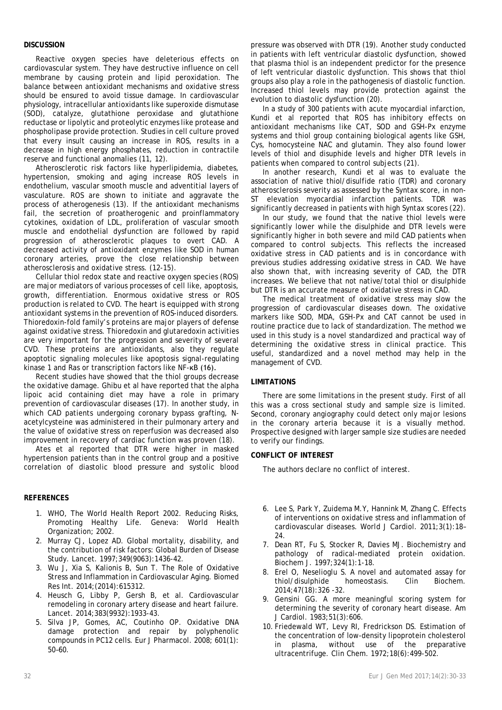# **DISCUSSION**

Reactive oxygen species have deleterious effects on cardiovascular system. They have destructive influence on cell membrane by causing protein and lipid peroxidation. The balance between antioxidant mechanisms and oxidative stress should be ensured to avoid tissue damage. In cardiovascular physiology, intracellular antioxidants like superoxide dismutase (SOD), catalyze, glutathione peroxidase and glutathione reductase or lipolytic and proteolytic enzymes like protease and phospholipase provide protection. Studies in cell culture proved that every insult causing an increase in ROS, results in a decrease in high energy phosphates, reduction in contractile reserve and functional anomalies (11, 12).

Atherosclerotic risk factors like hyperlipidemia, diabetes, hypertension, smoking and aging increase ROS levels in endothelium, vascular smooth muscle and adventitial layers of vasculature. ROS are shown to initiate and aggravate the process of atherogenesis (13). If the antioxidant mechanisms fail, the secretion of proatherogenic and proinflammatory cytokines, oxidation of LDL, proliferation of vascular smooth muscle and endothelial dysfunction are followed by rapid progression of atherosclerotic plaques to overt CAD. A decreased activity of antioxidant enzymes like SOD in human coronary arteries, prove the close relationship between atherosclerosis and oxidative stress. (12-15).

Cellular thiol redox state and reactive oxygen species (ROS) are major mediators of various processes of cell like, apoptosis, growth, differentiation. Enormous oxidative stress or ROS production is related to CVD. The heart is equipped with strong antioxidant systems in the prevention of ROS-induced disorders. Thioredoxin-fold family's proteins are major players of defense against oxidative stress. Thioredoxin and glutaredoxin activities are very important for the progression and severity of several CVD. These proteins are antioxidants, also they regulate apoptotic signaling molecules like apoptosis signal-regulating kinase 1 and Ras or transcription factors like NF-κB (16).

Recent studies have showed that the thiol groups decrease the oxidative damage. Ghibu et al have reported that the alpha lipoic acid containing diet may have a role in primary prevention of cardiovascular diseases (17). In another study, in which CAD patients undergoing coronary bypass grafting, Nacetylcysteine was administered in their pulmonary artery and the value of oxidative stress on reperfusion was decreased also improvement in recovery of cardiac function was proven (18).

Ates et al reported that DTR were higher in masked hypertension patients than in the control group and a positive correlation of diastolic blood pressure and systolic blood

## **REFERENCES**

- 1. WHO, The World Health Report 2002. Reducing Risks, Promoting Healthy Life. Geneva: World Health Organization; 2002.
- 2. Murray CJ, Lopez AD. Global mortality, disability, and the contribution of risk factors: Global Burden of Disease Study. Lancet. 1997;349(9063):1436-42.
- 3. Wu J, Xia S, Kalionis B, Sun T. The Role of Oxidative Stress and Inflammation in Cardiovascular Aging. Biomed Res Int. 2014;(2014):615312.
- 4. Heusch G, Libby P, Gersh B, et al. Cardiovascular remodeling in coronary artery disease and heart failure. Lancet. 2014;383(9932):1933-43.
- 5. Silva JP, Gomes, AC, Coutinho OP. Oxidative DNA damage protection and repair by polyphenolic compounds in PC12 cells. Eur J Pharmacol. 2008; 601(1): 50–60.

pressure was observed with DTR (19). Another study conducted in patients with left ventricular diastolic dysfunction, showed that plasma thiol is an independent predictor for the presence of left ventricular diastolic dysfunction. This shows that thiol groups also play a role in the pathogenesis of diastolic function. Increased thiol levels may provide protection against the evolution to diastolic dysfunction (20).

In a study of 300 patients with acute myocardial infarction, Kundi et al reported that ROS has inhibitory effects on antioxidant mechanisms like CAT, SOD and GSH-Px enzyme systems and thiol group containing biological agents like GSH, Cys, homocysteine NAC and glutamin. They also found lower levels of thiol and disuphide levels and higher DTR levels in patients when compared to control subjects (21).

In another research, Kundi et al was to evaluate the association of native thiol/disulfide ratio (TDR) and coronary atherosclerosis severity as assessed by the Syntax score, in non-ST elevation myocardial infarction patients. TDR was significantly decreased in patients with high Syntax scores (22).

In our study, we found that the native thiol levels were significantly lower while the disulphide and DTR levels were significantly higher in both severe and mild CAD patients when compared to control subjects. This reflects the increased oxidative stress in CAD patients and is in concordance with previous studies addressing oxidative stress in CAD. We have also shown that, with increasing severity of CAD, the DTR increases. We believe that not native/total thiol or disulphide but DTR is an accurate measure of oxidative stress in CAD.

The medical treatment of oxidative stress may slow the progression of cardiovascular diseases down. The oxidative markers like SOD, MDA, GSH-Px and CAT cannot be used in routine practice due to lack of standardization. The method we used in this study is a novel standardized and practical way of determining the oxidative stress in clinical practice. This useful, standardized and a novel method may help in the management of CVD.

# **LIMITATIONS**

There are some limitations in the present study. First of all this was a cross sectional study and sample size is limited. Second, coronary angiography could detect only major lesions in the coronary arteria because it is a visually method. Prospective designed with larger sample size studies are needed to verify our findings.

## **CONFLICT OF INTEREST**

The authors declare no conflict of interest.

- 6. Lee S, Park Y, Zuidema M.Y, Hannink M, Zhang C. Effects of interventions on oxidative stress and inflammation of cardiovascular diseases. World J Cardiol. 2011;3(1):18– 24.
- 7. Dean RT, Fu S, Stocker R, Davies MJ. Biochemistry and pathology of radical-mediated protein oxidation. Biochem J. 1997;324(1):1-18.
- 8. Erel O, Neselioglu S. A novel and automated assay for thiol/disulphide homeostasis. Clin Biochem. 2014;47(18):326 -32.
- 9. Gensini GG. A more meaningful scoring system for determining the severity of coronary heart disease. Am J Cardiol. 1983;51(3):606.
- 10. Friedewald WT, Levy RI, Fredrickson DS. Estimation of the concentration of low-density lipoprotein cholesterol in plasma, without use of the preparative ultracentrifuge. Clin Chem. 1972;18(6):499-502.